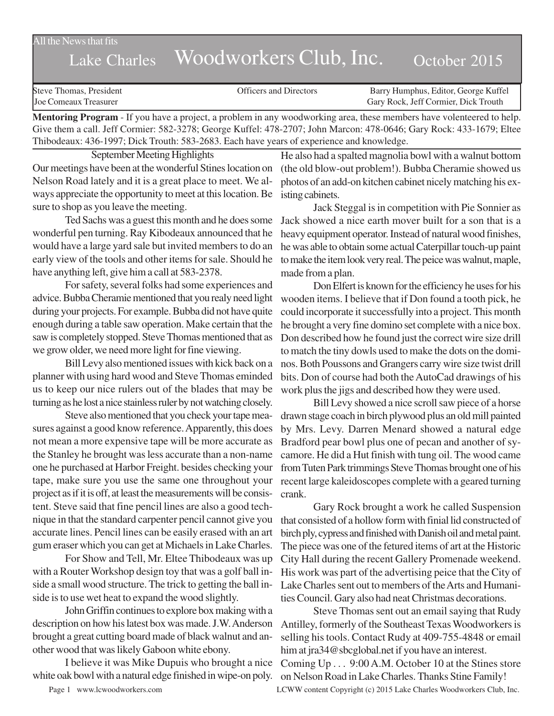$\overline{\text{All}}$  the News that fits

## Lake Charles Woodworkers Club, Inc. October 2015

| Steve Thomas, President | <b>Officers and Directors</b> | Barry Humphus, Editor, George Kuffel |
|-------------------------|-------------------------------|--------------------------------------|
| Joe Comeaux Treasurer   |                               | Gary Rock, Jeff Cormier, Dick Trouth |
|                         |                               |                                      |

**Mentoring Program** - If you have a project, a problem in any woodworking area, these members have volenteered to help. Give them a call. Jeff Cormier: 582-3278; George Kuffel: 478-2707; John Marcon: 478-0646; Gary Rock: 433-1679; Eltee Thibodeaux: 436-1997; Dick Trouth: 583-2683. Each have years of experience and knowledge.

September Meeting Highlights Our meetings have been at the wonderful Stines location on Nelson Road lately and it is a great place to meet. We always appreciate the opportunity to meet at this location. Be isting cabinets. sure to shop as you leave the meeting.

Ted Sachs was a guest this month and he does some wonderful pen turning. Ray Kibodeaux announced that he would have a large yard sale but invited members to do an early view of the tools and other items for sale. Should he have anything left, give him a call at 583-2378.

For safety, several folks had some experiences and advice. Bubba Cheramie mentioned that you realy need light during your projects. For example. Bubba did not have quite enough during a table saw operation. Make certain that the saw is completely stopped. Steve Thomas mentioned that as we grow older, we need more light for fine viewing.

Bill Levy also mentioned issues with kick back on a planner with using hard wood and Steve Thomas eminded us to keep our nice rulers out of the blades that may be turning as he lost a nice stainless ruler by not watching closely.

Steve also mentioned that you check your tape measures against a good know reference. Apparently, this does not mean a more expensive tape will be more accurate as the Stanley he brought was less accurate than a non-name one he purchased at Harbor Freight. besides checking your tape, make sure you use the same one throughout your project as if it is off, at least the measurements will be consistent. Steve said that fine pencil lines are also a good technique in that the standard carpenter pencil cannot give you accurate lines. Pencil lines can be easily erased with an art gum eraser which you can get at Michaels in Lake Charles.

For Show and Tell, Mr. Eltee Thibodeaux was up with a Router Workshop design toy that was a golf ball inside a small wood structure. The trick to getting the ball inside is to use wet heat to expand the wood slightly.

John Griffin continues to explore box making with a description on how his latest box was made. J.W. Anderson brought a great cutting board made of black walnut and another wood that was likely Gaboon white ebony.

I believe it was Mike Dupuis who brought a nice white oak bowl with a natural edge finished in wipe-on poly.

He also had a spalted magnolia bowl with a walnut bottom (the old blow-out problem!). Bubba Cheramie showed us photos of an add-on kitchen cabinet nicely matching his ex-

Jack Steggal is in competition with Pie Sonnier as Jack showed a nice earth mover built for a son that is a heavy equipment operator. Instead of natural wood finishes, he was able to obtain some actual Caterpillar touch-up paint to make the item look very real. The peice was walnut, maple, made from a plan.

Don Elfert is known for the efficiency he uses for his wooden items. I believe that if Don found a tooth pick, he could incorporate it successfully into a project. This month he brought a very fine domino set complete with a nice box. Don described how he found just the correct wire size drill to match the tiny dowls used to make the dots on the dominos. Both Poussons and Grangers carry wire size twist drill bits. Don of course had both the AutoCad drawings of his work plus the jigs and described how they were used.

Bill Levy showed a nice scroll saw piece of a horse drawn stage coach in birch plywood plus an old mill painted by Mrs. Levy. Darren Menard showed a natural edge Bradford pear bowl plus one of pecan and another of sycamore. He did a Hut finish with tung oil. The wood came from Tuten Park trimmings Steve Thomas brought one of his recent large kaleidoscopes complete with a geared turning crank.

Gary Rock brought a work he called Suspension that consisted of a hollow form with finial lid constructed of birch ply, cypress and finished with Danish oil and metal paint. The piece was one of the fetured items of art at the Historic City Hall during the recent Gallery Promenade weekend. His work was part of the advertising peice that the City of Lake Charles sent out to members of the Arts and Humanities Council. Gary also had neat Christmas decorations.

Steve Thomas sent out an email saying that Rudy Antilley, formerly of the Southeast Texas Woodworkers is selling his tools. Contact Rudy at 409-755-4848 or email him at jra34@sbcglobal.net if you have an interest.

Coming Up . . . 9:00 A.M. October 10 at the Stines store on Nelson Road in Lake Charles. Thanks Stine Family!

Page 1 www.lcwoodworkers.com LCWW content Copyright (c) 2015 Lake Charles Woodworkers Club, Inc.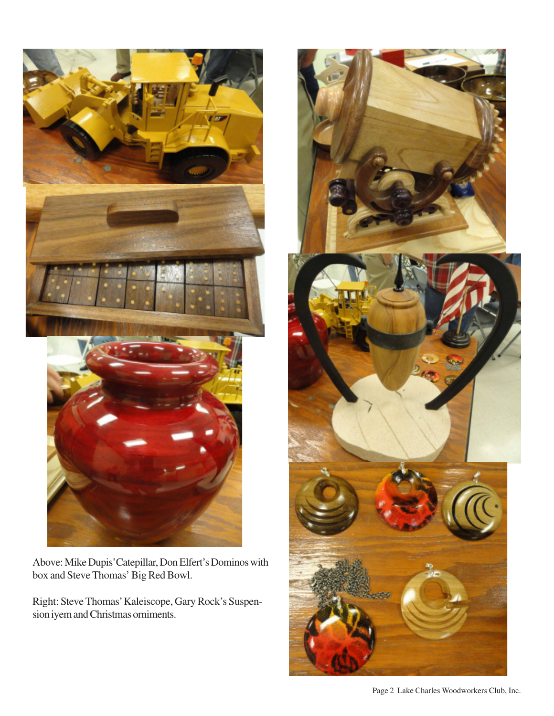

Above: Mike Dupis'Catepillar, Don Elfert's Dominos with box and Steve Thomas' Big Red Bowl.

Right: Steve Thomas' Kaleiscope, Gary Rock's Suspension iyem and Christmas orniments.



Page 2 Lake Charles Woodworkers Club, Inc.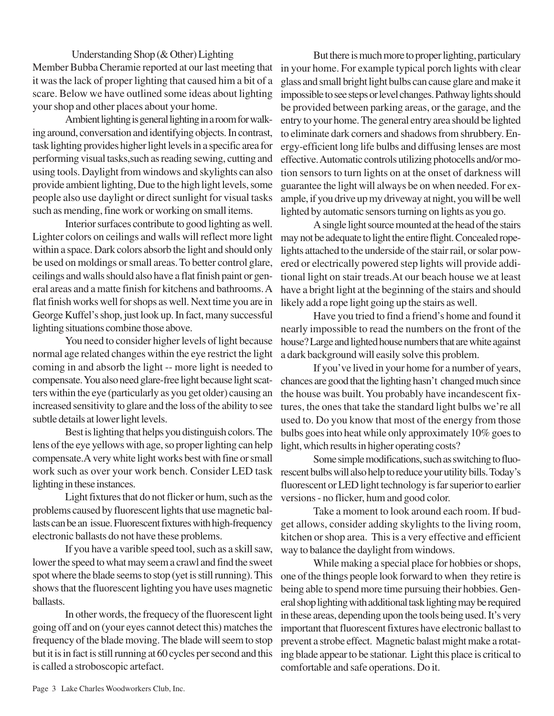Understanding Shop (& Other) Lighting Member Bubba Cheramie reported at our last meeting that it was the lack of proper lighting that caused him a bit of a scare. Below we have outlined some ideas about lighting your shop and other places about your home.

Ambient lighting is general lighting in a room for walking around, conversation and identifying objects. In contrast, task lighting provides higher light levels in a specific area for performing visual tasks,such as reading sewing, cutting and using tools. Daylight from windows and skylights can also provide ambient lighting, Due to the high light levels, some people also use daylight or direct sunlight for visual tasks such as mending, fine work or working on small items.

Interior surfaces contribute to good lighting as well. Lighter colors on ceilings and walls will reflect more light within a space. Dark colors absorb the light and should only be used on moldings or small areas. To better control glare, ceilings and walls should also have a flat finish paint or general areas and a matte finish for kitchens and bathrooms. A flat finish works well for shops as well. Next time you are in George Kuffel's shop, just look up. In fact, many successful lighting situations combine those above.

You need to consider higher levels of light because normal age related changes within the eye restrict the light coming in and absorb the light -- more light is needed to compensate. You also need glare-free light because light scatters within the eye (particularly as you get older) causing an increased sensitivity to glare and the loss of the ability to see subtle details at lower light levels.

Best is lighting that helps you distinguish colors. The lens of the eye yellows with age, so proper lighting can help compensate.A very white light works best with fine or small work such as over your work bench. Consider LED task rescent bulbs will also help to reduce your utility bills. Today's lighting in these instances.

Light fixtures that do not flicker or hum, such as the problems caused by fluorescent lights that use magnetic ballasts can be an issue. Fluorescent fixtures with high-frequency electronic ballasts do not have these problems.

If you have a varible speed tool, such as a skill saw, lower the speed to what may seem a crawl and find the sweet spot where the blade seems to stop (yet is still running). This shows that the fluorescent lighting you have uses magnetic ballasts.

In other words, the frequecy of the fluorescent light going off and on (your eyes cannot detect this) matches the frequency of the blade moving. The blade will seem to stop but it is in fact is still running at 60 cycles per second and this is called a stroboscopic artefact.

But there is much more to proper lighting, particulary in your home. For example typical porch lights with clear glass and small bright light bulbs can cause glare and make it impossible to see steps or level changes. Pathway lights should be provided between parking areas, or the garage, and the entry to your home. The general entry area should be lighted to eliminate dark corners and shadows from shrubbery. Energy-efficient long life bulbs and diffusing lenses are most effective. Automatic controls utilizing photocells and/or motion sensors to turn lights on at the onset of darkness will guarantee the light will always be on when needed. For example, if you drive up my driveway at night, you will be well lighted by automatic sensors turning on lights as you go.

A single light source mounted at the head of the stairs may not be adequate to light the entire flight. Concealed ropelights attached to the underside of the stair rail, or solar powered or electrically powered step lights will provide additional light on stair treads.At our beach house we at least have a bright light at the beginning of the stairs and should likely add a rope light going up the stairs as well.

Have you tried to find a friend's home and found it nearly impossible to read the numbers on the front of the house? Large and lighted house numbers that are white against a dark background will easily solve this problem.

If you've lived in your home for a number of years, chances are good that the lighting hasn't changed much since the house was built. You probably have incandescent fixtures, the ones that take the standard light bulbs we're all used to. Do you know that most of the energy from those bulbs goes into heat while only approximately 10% goes to light, which results in higher operating costs?

Some simple modifications, such as switching to fluofluorescent or LED light technology is far superior to earlier versions - no flicker, hum and good color.

Take a moment to look around each room. If budget allows, consider adding skylights to the living room, kitchen or shop area. This is a very effective and efficient way to balance the daylight from windows.

While making a special place for hobbies or shops, one of the things people look forward to when they retire is being able to spend more time pursuing their hobbies. General shop lighting with additional task lighting may be required in these areas, depending upon the tools being used. It's very important that fluorescent fixtures have electronic ballast to prevent a strobe effect. Magnetic balast might make a rotating blade appear to be stationar. Light this place is critical to comfortable and safe operations. Do it.